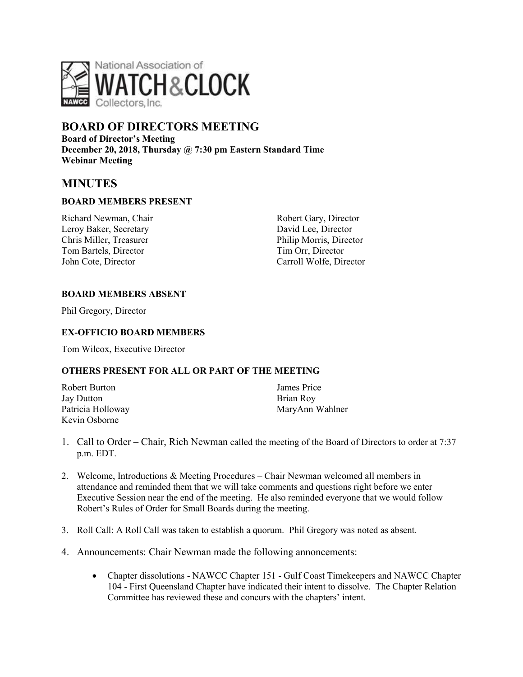

# **BOARD OF DIRECTORS MEETING**

**Board of Director's Meeting December 20, 2018, Thursday @ 7:30 pm Eastern Standard Time Webinar Meeting**

## **MINUTES**

### **BOARD MEMBERS PRESENT**

Richard Newman, Chair Leroy Baker, Secretary Chris Miller, Treasurer Tom Bartels, Director John Cote, Director

Robert Gary, Director David Lee, Director Philip Morris, Director Tim Orr, Director Carroll Wolfe, Director

#### **BOARD MEMBERS ABSENT**

Phil Gregory, Director

#### **EX-OFFICIO BOARD MEMBERS**

Tom Wilcox, Executive Director

#### **OTHERS PRESENT FOR ALL OR PART OF THE MEETING**

| Robert Burton     | James Price     |
|-------------------|-----------------|
| Jay Dutton        | Brian Roy       |
| Patricia Holloway | MaryAnn Wahlner |
| Kevin Osborne     |                 |

- 1. Call to Order Chair, Rich Newman called the meeting of the Board of Directors to order at 7:37 p.m. EDT.
- 2. Welcome, Introductions & Meeting Procedures Chair Newman welcomed all members in attendance and reminded them that we will take comments and questions right before we enter Executive Session near the end of the meeting. He also reminded everyone that we would follow Robert's Rules of Order for Small Boards during the meeting.
- 3. Roll Call: A Roll Call was taken to establish a quorum. Phil Gregory was noted as absent.
- 4. Announcements: Chair Newman made the following annoncements:
	- Chapter dissolutions NAWCC Chapter 151 Gulf Coast Timekeepers and NAWCC Chapter 104 - First Queensland Chapter have indicated their intent to dissolve. The Chapter Relation Committee has reviewed these and concurs with the chapters' intent.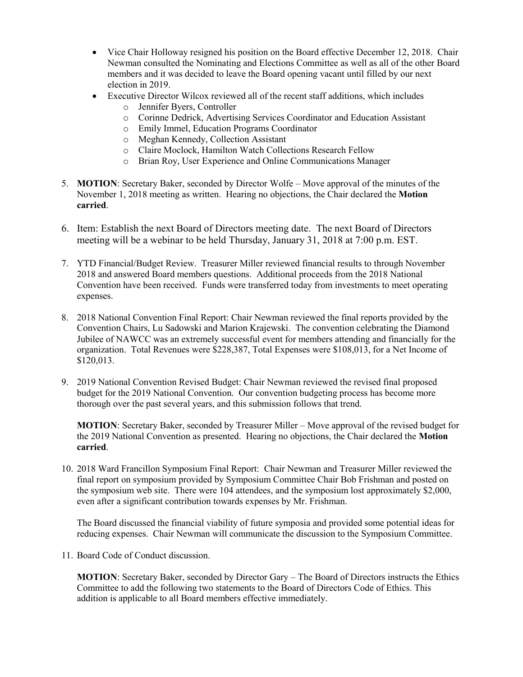- Vice Chair Holloway resigned his position on the Board effective December 12, 2018. Chair Newman consulted the Nominating and Elections Committee as well as all of the other Board members and it was decided to leave the Board opening vacant until filled by our next election in 2019.
- Executive Director Wilcox reviewed all of the recent staff additions, which includes
	- o Jennifer Byers, Controller
	- o Corinne Dedrick, Advertising Services Coordinator and Education Assistant
	- o Emily Immel, Education Programs Coordinator
	- o Meghan Kennedy, Collection Assistant
	- o Claire Moclock, Hamilton Watch Collections Research Fellow
	- o Brian Roy, User Experience and Online Communications Manager
- 5. **MOTION**: Secretary Baker, seconded by Director Wolfe Move approval of the minutes of the November 1, 2018 meeting as written. Hearing no objections, the Chair declared the **Motion carried**.
- 6. Item: Establish the next Board of Directors meeting date. The next Board of Directors meeting will be a webinar to be held Thursday, January 31, 2018 at 7:00 p.m. EST.
- 7. YTD Financial/Budget Review. Treasurer Miller reviewed financial results to through November 2018 and answered Board members questions. Additional proceeds from the 2018 National Convention have been received. Funds were transferred today from investments to meet operating expenses.
- 8. 2018 National Convention Final Report: Chair Newman reviewed the final reports provided by the Convention Chairs, Lu Sadowski and Marion Krajewski. The convention celebrating the Diamond Jubilee of NAWCC was an extremely successful event for members attending and financially for the organization. Total Revenues were \$228,387, Total Expenses were \$108,013, for a Net Income of \$120,013.
- 9. 2019 National Convention Revised Budget: Chair Newman reviewed the revised final proposed budget for the 2019 National Convention. Our convention budgeting process has become more thorough over the past several years, and this submission follows that trend.

**MOTION**: Secretary Baker, seconded by Treasurer Miller – Move approval of the revised budget for the 2019 National Convention as presented. Hearing no objections, the Chair declared the **Motion carried**.

10. 2018 Ward Francillon Symposium Final Report: Chair Newman and Treasurer Miller reviewed the final report on symposium provided by Symposium Committee Chair Bob Frishman and posted on the symposium web site. There were 104 attendees, and the symposium lost approximately \$2,000, even after a significant contribution towards expenses by Mr. Frishman.

The Board discussed the financial viability of future symposia and provided some potential ideas for reducing expenses. Chair Newman will communicate the discussion to the Symposium Committee.

11. Board Code of Conduct discussion.

**MOTION**: Secretary Baker, seconded by Director Gary – The Board of Directors instructs the Ethics Committee to add the following two statements to the Board of Directors Code of Ethics. This addition is applicable to all Board members effective immediately.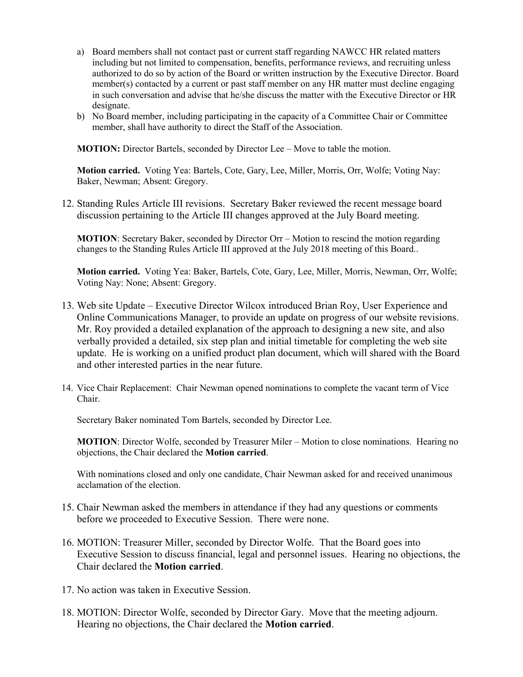- a) Board members shall not contact past or current staff regarding NAWCC HR related matters including but not limited to compensation, benefits, performance reviews, and recruiting unless authorized to do so by action of the Board or written instruction by the Executive Director. Board member(s) contacted by a current or past staff member on any HR matter must decline engaging in such conversation and advise that he/she discuss the matter with the Executive Director or HR designate.
- b) No Board member, including participating in the capacity of a Committee Chair or Committee member, shall have authority to direct the Staff of the Association.

**MOTION:** Director Bartels, seconded by Director Lee – Move to table the motion.

**Motion carried.** Voting Yea: Bartels, Cote, Gary, Lee, Miller, Morris, Orr, Wolfe; Voting Nay: Baker, Newman; Absent: Gregory.

12. Standing Rules Article III revisions. Secretary Baker reviewed the recent message board discussion pertaining to the Article III changes approved at the July Board meeting.

**MOTION**: Secretary Baker, seconded by Director Orr – Motion to rescind the motion regarding changes to the Standing Rules Article III approved at the July 2018 meeting of this Board..

**Motion carried.** Voting Yea: Baker, Bartels, Cote, Gary, Lee, Miller, Morris, Newman, Orr, Wolfe; Voting Nay: None; Absent: Gregory.

- 13. Web site Update Executive Director Wilcox introduced Brian Roy, User Experience and Online Communications Manager, to provide an update on progress of our website revisions. Mr. Roy provided a detailed explanation of the approach to designing a new site, and also verbally provided a detailed, six step plan and initial timetable for completing the web site update. He is working on a unified product plan document, which will shared with the Board and other interested parties in the near future.
- 14. Vice Chair Replacement: Chair Newman opened nominations to complete the vacant term of Vice Chair.

Secretary Baker nominated Tom Bartels, seconded by Director Lee.

**MOTION**: Director Wolfe, seconded by Treasurer Miler – Motion to close nominations. Hearing no objections, the Chair declared the **Motion carried**.

With nominations closed and only one candidate, Chair Newman asked for and received unanimous acclamation of the election.

- 15. Chair Newman asked the members in attendance if they had any questions or comments before we proceeded to Executive Session. There were none.
- 16. MOTION: Treasurer Miller, seconded by Director Wolfe. That the Board goes into Executive Session to discuss financial, legal and personnel issues. Hearing no objections, the Chair declared the **Motion carried**.
- 17. No action was taken in Executive Session.
- 18. MOTION: Director Wolfe, seconded by Director Gary. Move that the meeting adjourn. Hearing no objections, the Chair declared the **Motion carried**.